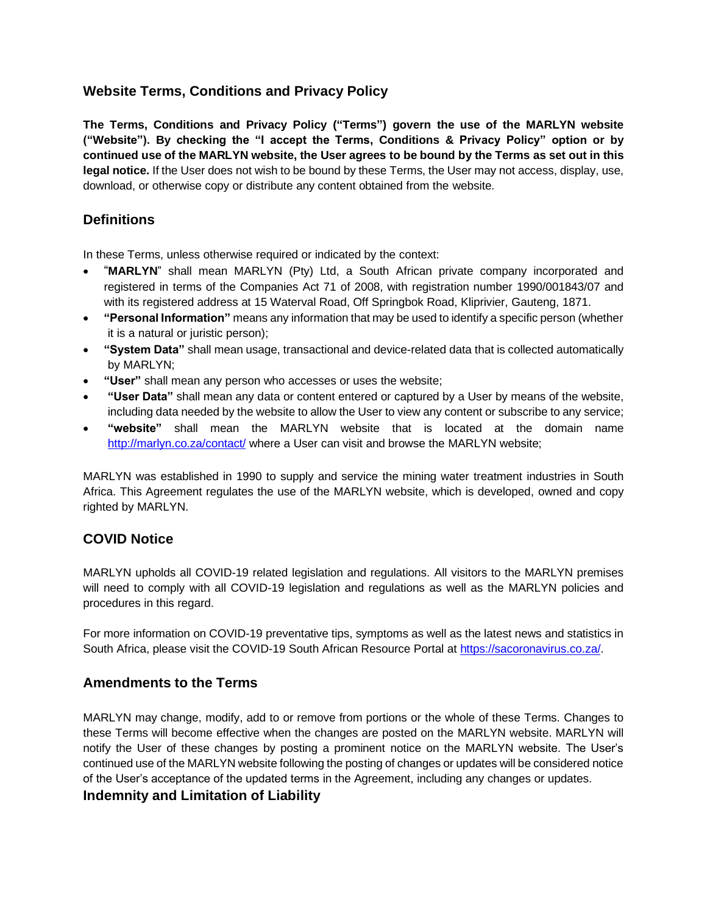# **Website Terms, Conditions and Privacy Policy**

**The Terms, Conditions and Privacy Policy ("Terms") govern the use of the MARLYN website ("Website"). By checking the "I accept the Terms, Conditions & Privacy Policy" option or by continued use of the MARLYN website, the User agrees to be bound by the Terms as set out in this legal notice.** If the User does not wish to be bound by these Terms, the User may not access, display, use, download, or otherwise copy or distribute any content obtained from the website.

# **Definitions**

In these Terms, unless otherwise required or indicated by the context:

- "**MARLYN**" shall mean MARLYN (Pty) Ltd, a South African private company incorporated and registered in terms of the Companies Act 71 of 2008, with registration number 1990/001843/07 and with its registered address at 15 Waterval Road, Off Springbok Road, Kliprivier, Gauteng, 1871.
- **"Personal Information"** means any information that may be used to identify a specific person (whether it is a natural or juristic person);
- **"System Data"** shall mean usage, transactional and device-related data that is collected automatically by MARLYN;
- **"User"** shall mean any person who accesses or uses the website;
- **"User Data"** shall mean any data or content entered or captured by a User by means of the website, including data needed by the website to allow the User to view any content or subscribe to any service;
- **"website"** shall mean the MARLYN website that is located at the domain name http://marlyn.co.za/contact/ where a User can visit and browse the MARLYN website;

MARLYN was established in 1990 to supply and service the mining water treatment industries in South Africa. This Agreement regulates the use of the MARLYN website, which is developed, owned and copy righted by MARLYN.

## **COVID Notice**

MARLYN upholds all COVID-19 related legislation and regulations. All visitors to the MARLYN premises will need to comply with all COVID-19 legislation and regulations as well as the MARLYN policies and procedures in this regard.

For more information on COVID-19 preventative tips, symptoms as well as the latest news and statistics in South Africa, please visit the COVID-19 South African Resource Portal at https://sacoronavirus.co.za/.

#### **Amendments to the Terms**

MARLYN may change, modify, add to or remove from portions or the whole of these Terms. Changes to these Terms will become effective when the changes are posted on the MARLYN website. MARLYN will notify the User of these changes by posting a prominent notice on the MARLYN website. The User's continued use of the MARLYN website following the posting of changes or updates will be considered notice of the User's acceptance of the updated terms in the Agreement, including any changes or updates.

#### **Indemnity and Limitation of Liability**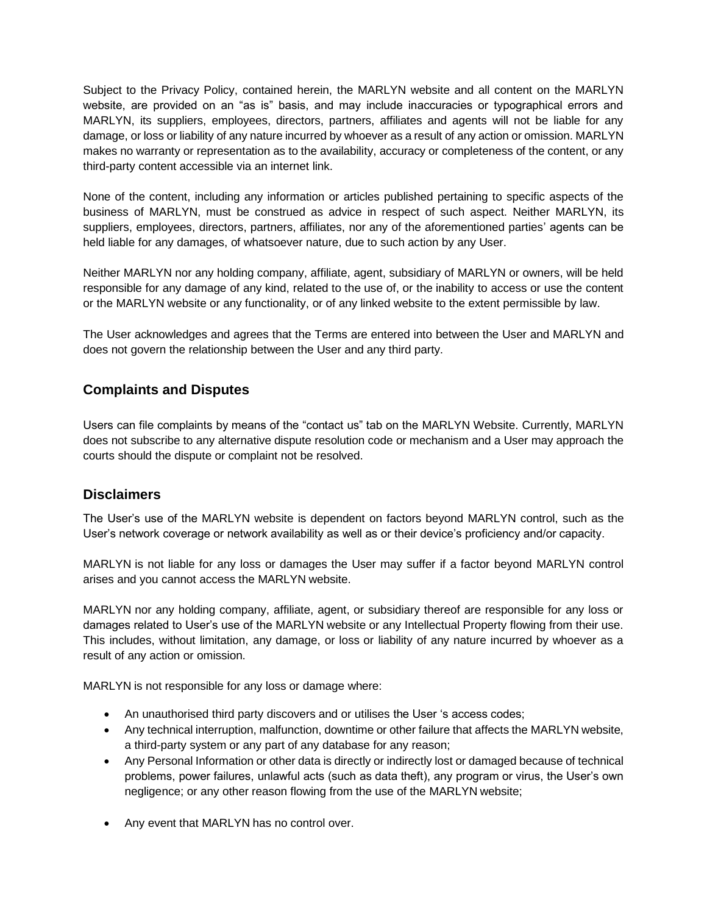Subject to the Privacy Policy, contained herein, the MARLYN website and all content on the MARLYN website, are provided on an "as is" basis, and may include inaccuracies or typographical errors and MARLYN, its suppliers, employees, directors, partners, affiliates and agents will not be liable for any damage, or loss or liability of any nature incurred by whoever as a result of any action or omission. MARLYN makes no warranty or representation as to the availability, accuracy or completeness of the content, or any third-party content accessible via an internet link.

None of the content, including any information or articles published pertaining to specific aspects of the business of MARLYN, must be construed as advice in respect of such aspect. Neither MARLYN, its suppliers, employees, directors, partners, affiliates, nor any of the aforementioned parties' agents can be held liable for any damages, of whatsoever nature, due to such action by any User.

Neither MARLYN nor any holding company, affiliate, agent, subsidiary of MARLYN or owners, will be held responsible for any damage of any kind, related to the use of, or the inability to access or use the content or the MARLYN website or any functionality, or of any linked website to the extent permissible by law.

The User acknowledges and agrees that the Terms are entered into between the User and MARLYN and does not govern the relationship between the User and any third party.

# **Complaints and Disputes**

Users can file complaints by means of the "contact us" tab on the MARLYN Website. Currently, MARLYN does not subscribe to any alternative dispute resolution code or mechanism and a User may approach the courts should the dispute or complaint not be resolved.

## **Disclaimers**

The User's use of the MARLYN website is dependent on factors beyond MARLYN control, such as the User's network coverage or network availability as well as or their device's proficiency and/or capacity.

MARLYN is not liable for any loss or damages the User may suffer if a factor beyond MARLYN control arises and you cannot access the MARLYN website.

MARLYN nor any holding company, affiliate, agent, or subsidiary thereof are responsible for any loss or damages related to User's use of the MARLYN website or any Intellectual Property flowing from their use. This includes, without limitation, any damage, or loss or liability of any nature incurred by whoever as a result of any action or omission.

MARLYN is not responsible for any loss or damage where:

- An unauthorised third party discovers and or utilises the User 's access codes;
- Any technical interruption, malfunction, downtime or other failure that affects the MARLYN website, a third-party system or any part of any database for any reason;
- Any Personal Information or other data is directly or indirectly lost or damaged because of technical problems, power failures, unlawful acts (such as data theft), any program or virus, the User's own negligence; or any other reason flowing from the use of the MARLYN website;
- Any event that MARLYN has no control over.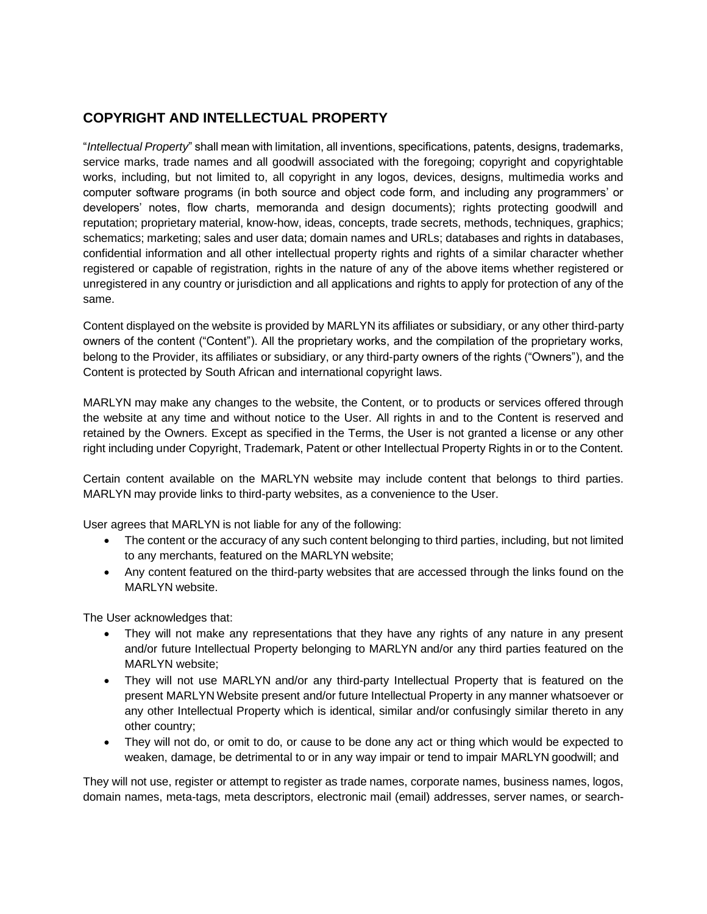# **COPYRIGHT AND INTELLECTUAL PROPERTY**

"*Intellectual Property*" shall mean with limitation, all inventions, specifications, patents, designs, trademarks, service marks, trade names and all goodwill associated with the foregoing; copyright and copyrightable works, including, but not limited to, all copyright in any logos, devices, designs, multimedia works and computer software programs (in both source and object code form, and including any programmers' or developers' notes, flow charts, memoranda and design documents); rights protecting goodwill and reputation; proprietary material, know-how, ideas, concepts, trade secrets, methods, techniques, graphics; schematics; marketing; sales and user data; domain names and URLs; databases and rights in databases, confidential information and all other intellectual property rights and rights of a similar character whether registered or capable of registration, rights in the nature of any of the above items whether registered or unregistered in any country or jurisdiction and all applications and rights to apply for protection of any of the same.

Content displayed on the website is provided by MARLYN its affiliates or subsidiary, or any other third-party owners of the content ("Content"). All the proprietary works, and the compilation of the proprietary works, belong to the Provider, its affiliates or subsidiary, or any third-party owners of the rights ("Owners"), and the Content is protected by South African and international copyright laws.

MARLYN may make any changes to the website, the Content, or to products or services offered through the website at any time and without notice to the User. All rights in and to the Content is reserved and retained by the Owners. Except as specified in the Terms, the User is not granted a license or any other right including under Copyright, Trademark, Patent or other Intellectual Property Rights in or to the Content.

Certain content available on the MARLYN website may include content that belongs to third parties. MARLYN may provide links to third-party websites, as a convenience to the User.

User agrees that MARLYN is not liable for any of the following:

- The content or the accuracy of any such content belonging to third parties, including, but not limited to any merchants, featured on the MARLYN website;
- Any content featured on the third-party websites that are accessed through the links found on the MARLYN website.

The User acknowledges that:

- They will not make any representations that they have any rights of any nature in any present and/or future Intellectual Property belonging to MARLYN and/or any third parties featured on the MARLYN website;
- They will not use MARLYN and/or any third-party Intellectual Property that is featured on the present MARLYN Website present and/or future Intellectual Property in any manner whatsoever or any other Intellectual Property which is identical, similar and/or confusingly similar thereto in any other country;
- They will not do, or omit to do, or cause to be done any act or thing which would be expected to weaken, damage, be detrimental to or in any way impair or tend to impair MARLYN goodwill; and

They will not use, register or attempt to register as trade names, corporate names, business names, logos, domain names, meta-tags, meta descriptors, electronic mail (email) addresses, server names, or search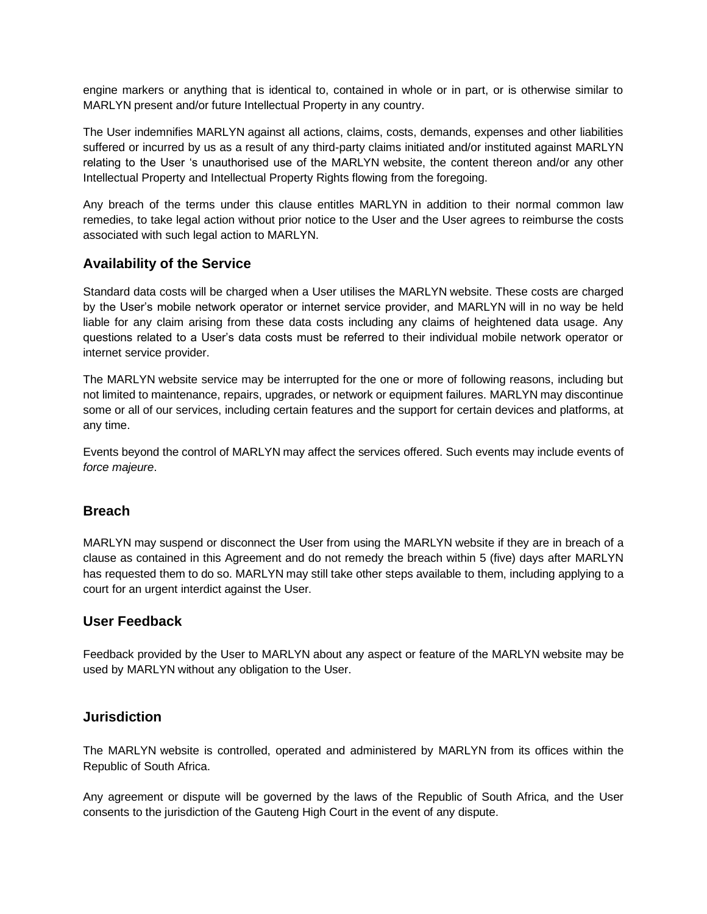engine markers or anything that is identical to, contained in whole or in part, or is otherwise similar to MARLYN present and/or future Intellectual Property in any country.

The User indemnifies MARLYN against all actions, claims, costs, demands, expenses and other liabilities suffered or incurred by us as a result of any third-party claims initiated and/or instituted against MARLYN relating to the User 's unauthorised use of the MARLYN website, the content thereon and/or any other Intellectual Property and Intellectual Property Rights flowing from the foregoing.

Any breach of the terms under this clause entitles MARLYN in addition to their normal common law remedies, to take legal action without prior notice to the User and the User agrees to reimburse the costs associated with such legal action to MARLYN.

#### **Availability of the Service**

Standard data costs will be charged when a User utilises the MARLYN website. These costs are charged by the User's mobile network operator or internet service provider, and MARLYN will in no way be held liable for any claim arising from these data costs including any claims of heightened data usage. Any questions related to a User's data costs must be referred to their individual mobile network operator or internet service provider.

The MARLYN website service may be interrupted for the one or more of following reasons, including but not limited to maintenance, repairs, upgrades, or network or equipment failures. MARLYN may discontinue some or all of our services, including certain features and the support for certain devices and platforms, at any time.

Events beyond the control of MARLYN may affect the services offered. Such events may include events of *force majeure*.

#### **Breach**

MARLYN may suspend or disconnect the User from using the MARLYN website if they are in breach of a clause as contained in this Agreement and do not remedy the breach within 5 (five) days after MARLYN has requested them to do so. MARLYN may still take other steps available to them, including applying to a court for an urgent interdict against the User.

#### **User Feedback**

Feedback provided by the User to MARLYN about any aspect or feature of the MARLYN website may be used by MARLYN without any obligation to the User.

#### **Jurisdiction**

The MARLYN website is controlled, operated and administered by MARLYN from its offices within the Republic of South Africa.

Any agreement or dispute will be governed by the laws of the Republic of South Africa, and the User consents to the jurisdiction of the Gauteng High Court in the event of any dispute.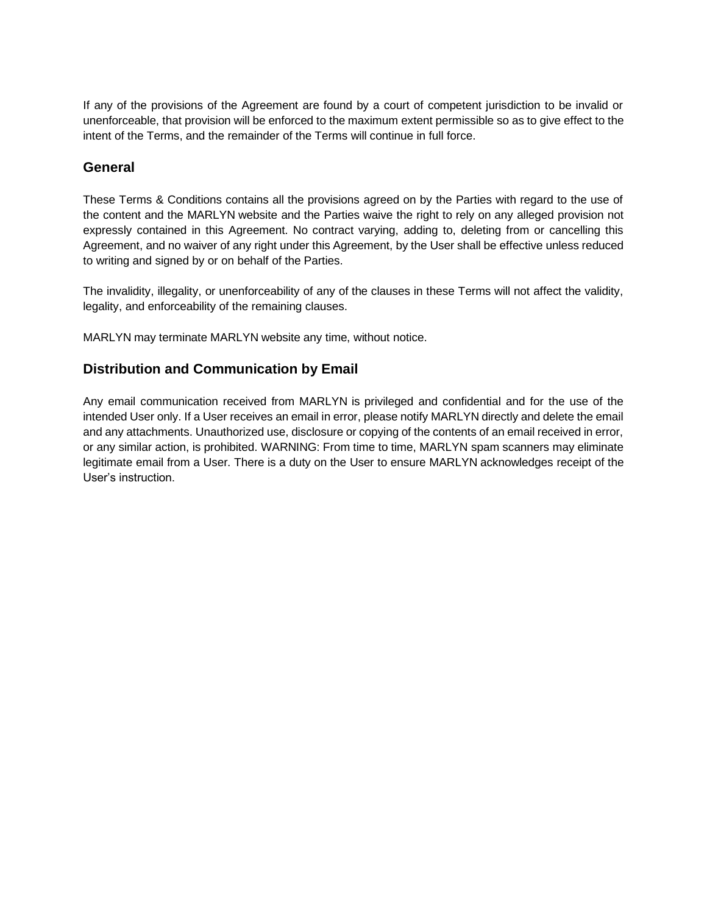If any of the provisions of the Agreement are found by a court of competent jurisdiction to be invalid or unenforceable, that provision will be enforced to the maximum extent permissible so as to give effect to the intent of the Terms, and the remainder of the Terms will continue in full force.

#### **General**

These Terms & Conditions contains all the provisions agreed on by the Parties with regard to the use of the content and the MARLYN website and the Parties waive the right to rely on any alleged provision not expressly contained in this Agreement. No contract varying, adding to, deleting from or cancelling this Agreement, and no waiver of any right under this Agreement, by the User shall be effective unless reduced to writing and signed by or on behalf of the Parties.

The invalidity, illegality, or unenforceability of any of the clauses in these Terms will not affect the validity, legality, and enforceability of the remaining clauses.

MARLYN may terminate MARLYN website any time, without notice.

## **Distribution and Communication by Email**

Any email communication received from MARLYN is privileged and confidential and for the use of the intended User only. If a User receives an email in error, please notify MARLYN directly and delete the email and any attachments. Unauthorized use, disclosure or copying of the contents of an email received in error, or any similar action, is prohibited. WARNING: From time to time, MARLYN spam scanners may eliminate legitimate email from a User. There is a duty on the User to ensure MARLYN acknowledges receipt of the User's instruction.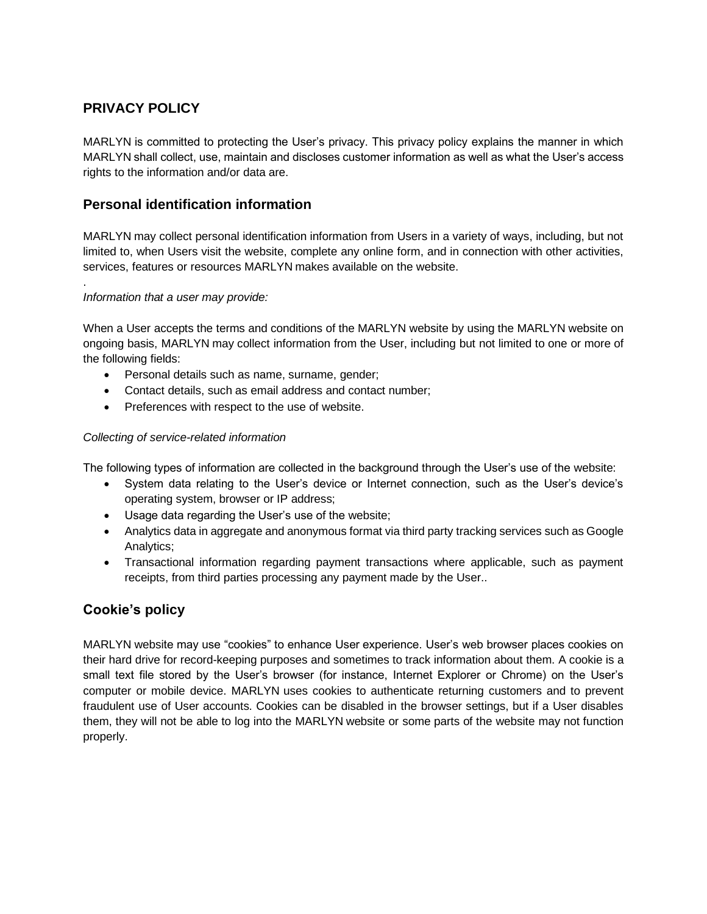# **PRIVACY POLICY**

.

MARLYN is committed to protecting the User's privacy. This privacy policy explains the manner in which MARLYN shall collect, use, maintain and discloses customer information as well as what the User's access rights to the information and/or data are.

## **Personal identification information**

MARLYN may collect personal identification information from Users in a variety of ways, including, but not limited to, when Users visit the website, complete any online form, and in connection with other activities, services, features or resources MARLYN makes available on the website.

#### *Information that a user may provide:*

When a User accepts the terms and conditions of the MARLYN website by using the MARLYN website on ongoing basis, MARLYN may collect information from the User, including but not limited to one or more of the following fields:

- Personal details such as name, surname, gender;
- Contact details, such as email address and contact number;
- Preferences with respect to the use of website.

#### *Collecting of service-related information*

The following types of information are collected in the background through the User's use of the website:

- System data relating to the User's device or Internet connection, such as the User's device's operating system, browser or IP address;
- Usage data regarding the User's use of the website;
- Analytics data in aggregate and anonymous format via third party tracking services such as Google Analytics;
- Transactional information regarding payment transactions where applicable, such as payment receipts, from third parties processing any payment made by the User..

## **Cookie's policy**

MARLYN website may use "cookies" to enhance User experience. User's web browser places cookies on their hard drive for record-keeping purposes and sometimes to track information about them. A cookie is a small text file stored by the User's browser (for instance, Internet Explorer or Chrome) on the User's computer or mobile device. MARLYN uses cookies to authenticate returning customers and to prevent fraudulent use of User accounts. Cookies can be disabled in the browser settings, but if a User disables them, they will not be able to log into the MARLYN website or some parts of the website may not function properly.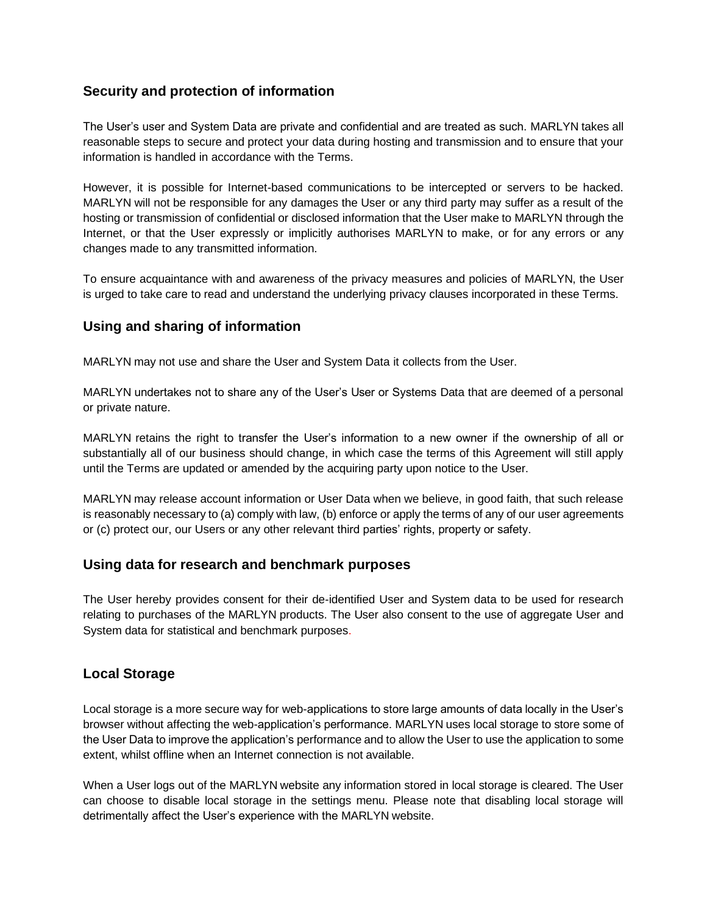## **Security and protection of information**

The User's user and System Data are private and confidential and are treated as such. MARLYN takes all reasonable steps to secure and protect your data during hosting and transmission and to ensure that your information is handled in accordance with the Terms.

However, it is possible for Internet-based communications to be intercepted or servers to be hacked. MARLYN will not be responsible for any damages the User or any third party may suffer as a result of the hosting or transmission of confidential or disclosed information that the User make to MARLYN through the Internet, or that the User expressly or implicitly authorises MARLYN to make, or for any errors or any changes made to any transmitted information.

To ensure acquaintance with and awareness of the privacy measures and policies of MARLYN, the User is urged to take care to read and understand the underlying privacy clauses incorporated in these Terms.

## **Using and sharing of information**

MARLYN may not use and share the User and System Data it collects from the User.

MARLYN undertakes not to share any of the User's User or Systems Data that are deemed of a personal or private nature.

MARLYN retains the right to transfer the User's information to a new owner if the ownership of all or substantially all of our business should change, in which case the terms of this Agreement will still apply until the Terms are updated or amended by the acquiring party upon notice to the User.

MARLYN may release account information or User Data when we believe, in good faith, that such release is reasonably necessary to (a) comply with law, (b) enforce or apply the terms of any of our user agreements or (c) protect our, our Users or any other relevant third parties' rights, property or safety.

## **Using data for research and benchmark purposes**

The User hereby provides consent for their de-identified User and System data to be used for research relating to purchases of the MARLYN products. The User also consent to the use of aggregate User and System data for statistical and benchmark purposes.

## **Local Storage**

Local storage is a more secure way for web-applications to store large amounts of data locally in the User's browser without affecting the web-application's performance. MARLYN uses local storage to store some of the User Data to improve the application's performance and to allow the User to use the application to some extent, whilst offline when an Internet connection is not available.

When a User logs out of the MARLYN website any information stored in local storage is cleared. The User can choose to disable local storage in the settings menu. Please note that disabling local storage will detrimentally affect the User's experience with the MARLYN website.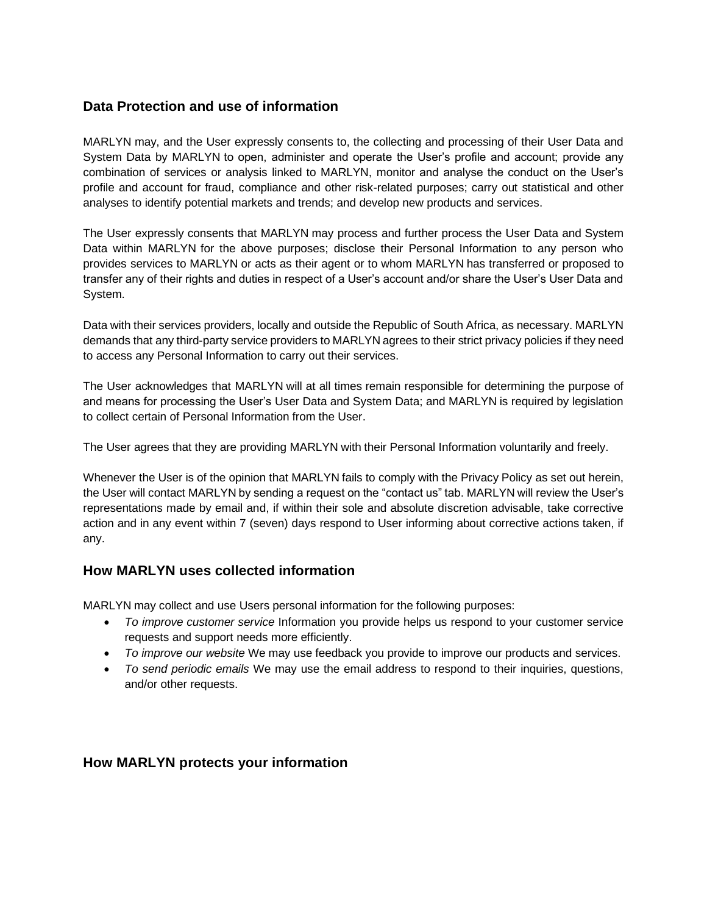## **Data Protection and use of information**

MARLYN may, and the User expressly consents to, the collecting and processing of their User Data and System Data by MARLYN to open, administer and operate the User's profile and account; provide any combination of services or analysis linked to MARLYN, monitor and analyse the conduct on the User's profile and account for fraud, compliance and other risk-related purposes; carry out statistical and other analyses to identify potential markets and trends; and develop new products and services.

The User expressly consents that MARLYN may process and further process the User Data and System Data within MARLYN for the above purposes; disclose their Personal Information to any person who provides services to MARLYN or acts as their agent or to whom MARLYN has transferred or proposed to transfer any of their rights and duties in respect of a User's account and/or share the User's User Data and System.

Data with their services providers, locally and outside the Republic of South Africa, as necessary. MARLYN demands that any third-party service providers to MARLYN agrees to their strict privacy policies if they need to access any Personal Information to carry out their services.

The User acknowledges that MARLYN will at all times remain responsible for determining the purpose of and means for processing the User's User Data and System Data; and MARLYN is required by legislation to collect certain of Personal Information from the User.

The User agrees that they are providing MARLYN with their Personal Information voluntarily and freely.

Whenever the User is of the opinion that MARLYN fails to comply with the Privacy Policy as set out herein, the User will contact MARLYN by sending a request on the "contact us" tab. MARLYN will review the User's representations made by email and, if within their sole and absolute discretion advisable, take corrective action and in any event within 7 (seven) days respond to User informing about corrective actions taken, if any.

#### **How MARLYN uses collected information**

MARLYN may collect and use Users personal information for the following purposes:

- *To improve customer service* Information you provide helps us respond to your customer service requests and support needs more efficiently.
- *To improve our website* We may use feedback you provide to improve our products and services.
- *To send periodic emails* We may use the email address to respond to their inquiries, questions, and/or other requests.

#### **How MARLYN protects your information**